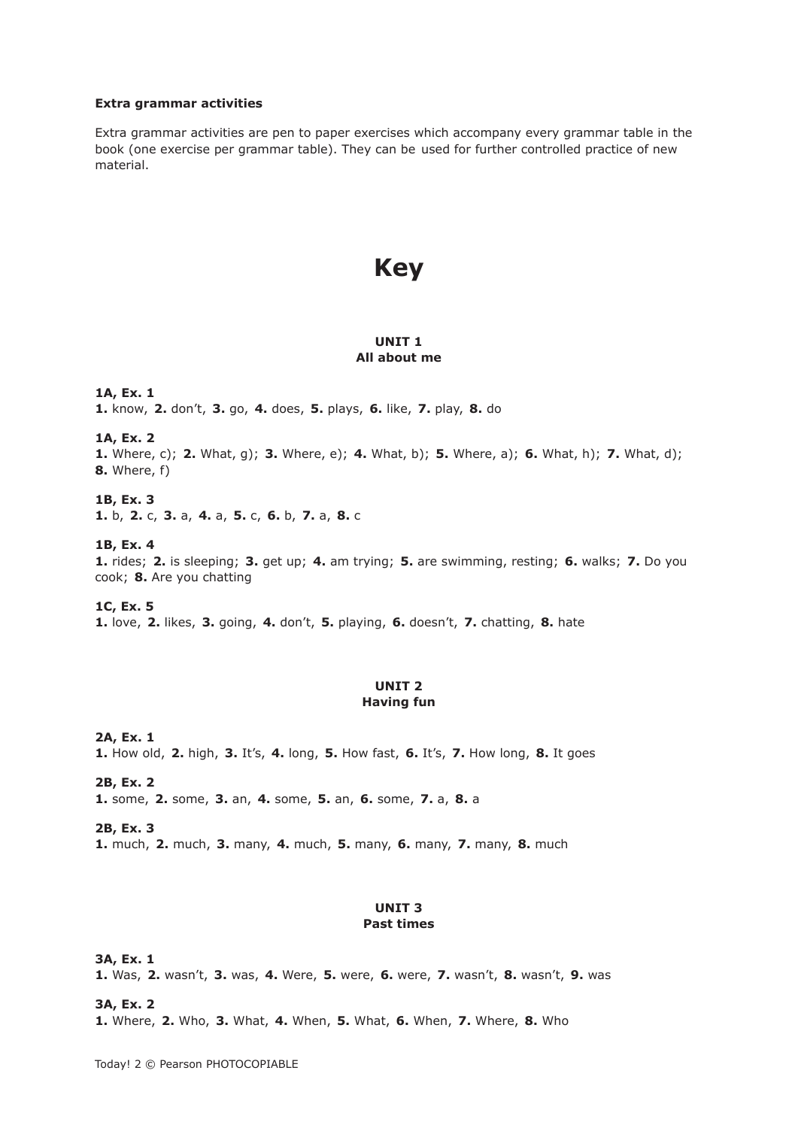#### **Extra grammar activities**

Extra grammar activities are pen to paper exercises which accompany every grammar table in the book (one exercise per grammar table). They can be used for further controlled practice of new material.

# **Key**

## **UNIT 1 All about me**

**1A, Ex. 1 1.** know, **2.** don't, **3.** go, **4.** does, **5.** plays, **6.** like, **7.** play, **8.** do

**1A, Ex. 2** 

**1.** Where, c); **2.** What, g); **3.** Where, e); **4.** What, b); **5.** Where, a); **6.** What, h); **7.** What, d); **8.** Where, f)

**1B, Ex. 3** 

**1.** b, **2.** c, **3.** a, **4.** a, **5.** c, **6.** b, **7.** a, **8.** c

## **1B, Ex. 4**

**1.** rides; **2.** is sleeping; **3.** get up; **4.** am trying; **5.** are swimming, resting; **6.** walks; **7.** Do you cook; **8.** Are you chatting

**1C, Ex. 5 1.** love, **2.** likes, **3.** going, **4.** don't, **5.** playing, **6.** doesn't, **7.** chatting, **8.** hate

## **UNIT 2 Having fun**

**2A, Ex. 1 1.** How old, **2.** high, **3.** It's, **4.** long, **5.** How fast, **6.** It's, **7.** How long, **8.** It goes

**2B, Ex. 2 1.** some, **2.** some, **3.** an, **4.** some, **5.** an, **6.** some, **7.** a, **8.** a

**2B, Ex. 3 1.** much, **2.** much, **3.** many, **4.** much, **5.** many, **6.** many, **7.** many, **8.** much

# **UNIT 3 Past times**

**3A, Ex. 1 1.** Was, **2.** wasn't, **3.** was, **4.** Were, **5.** were, **6.** were, **7.** wasn't, **8.** wasn't, **9.** was

**3A, Ex. 2** 

**1.** Where, **2.** Who, **3.** What, **4.** When, **5.** What, **6.** When, **7.** Where, **8.** Who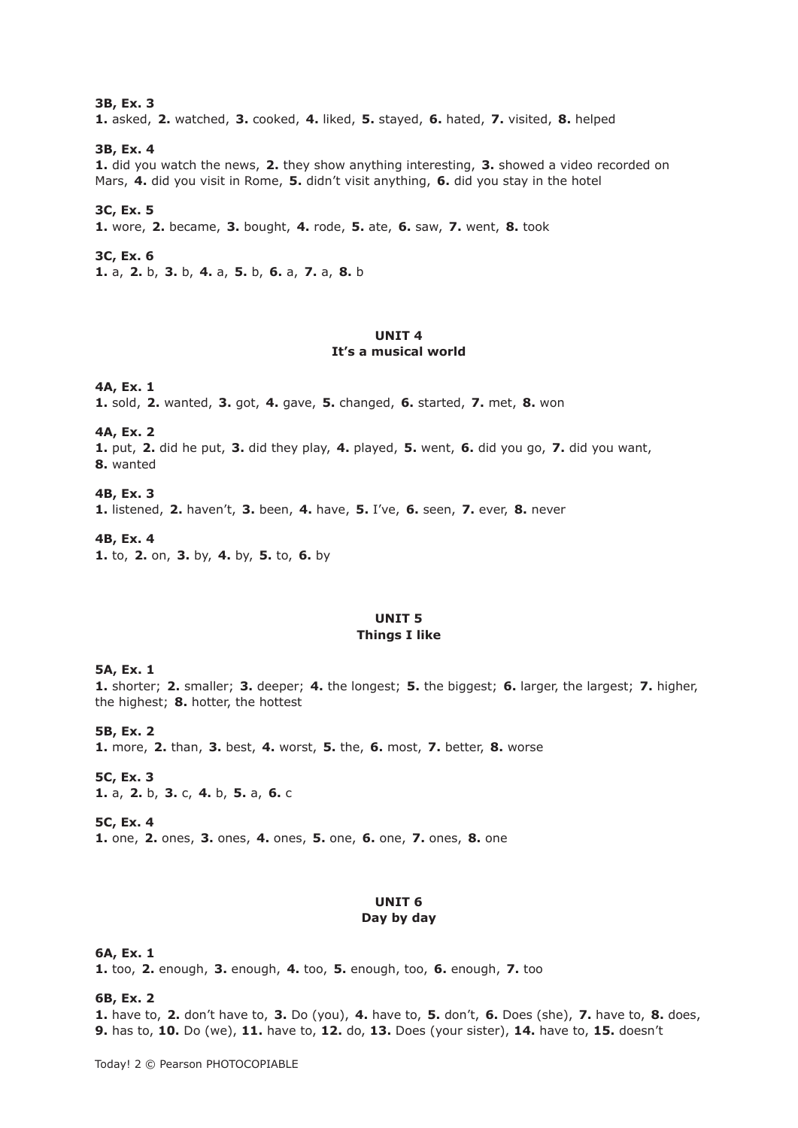#### **3B, Ex. 3**

**1.** asked, **2.** watched, **3.** cooked, **4.** liked, **5.** stayed, **6.** hated, **7.** visited, **8.** helped

#### **3B, Ex. 4**

**1.** did you watch the news, **2.** they show anything interesting, **3.** showed a video recorded on Mars, **4.** did you visit in Rome, **5.** didn't visit anything, **6.** did you stay in the hotel

#### **3C, Ex. 5**

**1.** wore, **2.** became, **3.** bought, **4.** rode, **5.** ate, **6.** saw, **7.** went, **8.** took

## **3C, Ex. 6**

**1.** a, **2.** b, **3.** b, **4.** a, **5.** b, **6.** a, **7.** a, **8.** b

# **UNIT 4 It's a musical world**

#### **4A, Ex. 1**

**1.** sold, **2.** wanted, **3.** got, **4.** gave, **5.** changed, **6.** started, **7.** met, **8.** won

## **4A, Ex. 2**

**1.** put, **2.** did he put, **3.** did they play, **4.** played, **5.** went, **6.** did you go, **7.** did you want, **8.** wanted

**4B, Ex. 3 1.** listened, **2.** haven't, **3.** been, **4.** have, **5.** I've, **6.** seen, **7.** ever, **8.** never

**4B, Ex. 4 1.** to, **2.** on, **3.** by, **4.** by, **5.** to, **6.** by

# **UNIT 5 Things I like**

#### **5A, Ex. 1**

**1.** shorter; **2.** smaller; **3.** deeper; **4.** the longest; **5.** the biggest; **6.** larger, the largest; **7.** higher, the highest; **8.** hotter, the hottest

**5B, Ex. 2 1.** more, **2.** than, **3.** best, **4.** worst, **5.** the, **6.** most, **7.** better, **8.** worse

**5C, Ex. 3 1.** a, **2.** b, **3.** c, **4.** b, **5.** a, **6.** c

**5C, Ex. 4** 

**1.** one, **2.** ones, **3.** ones, **4.** ones, **5.** one, **6.** one, **7.** ones, **8.** one

## **UNIT 6 Day by day**

#### **6A, Ex. 1**

**1.** too, **2.** enough, **3.** enough, **4.** too, **5.** enough, too, **6.** enough, **7.** too

#### **6B, Ex. 2**

**1.** have to, **2.** don't have to, **3.** Do (you), **4.** have to, **5.** don't, **6.** Does (she), **7.** have to, **8.** does, **9.** has to, **10.** Do (we), **11.** have to, **12.** do, **13.** Does (your sister), **14.** have to, **15.** doesn't